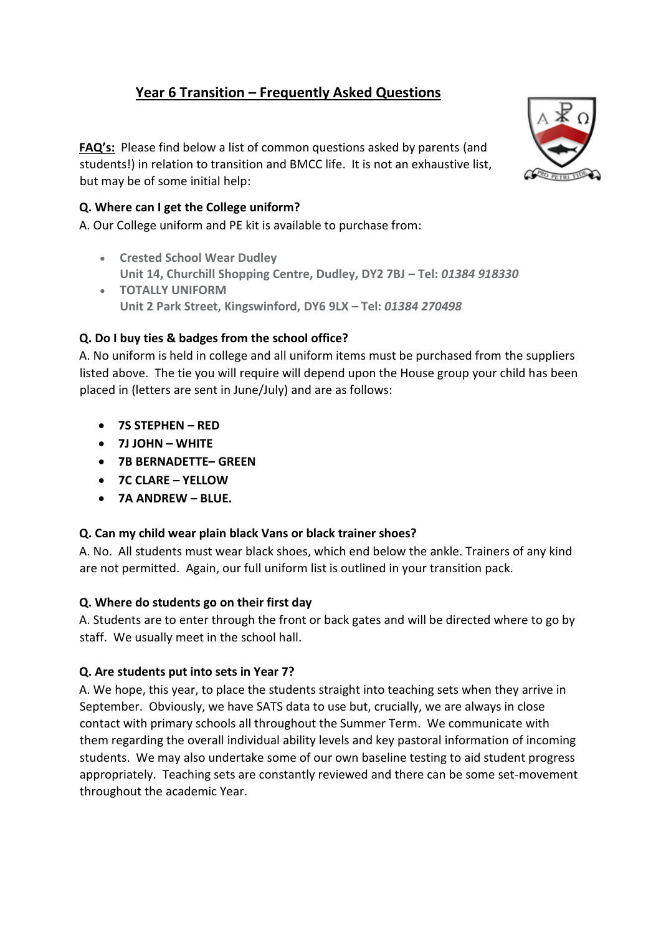# **Year 6 Transition – Frequently Asked Questions**

**FAQ's:** Please find below a list of common questions asked by parents (and students!) in relation to transition and BMCC life. It is not an exhaustive list, but may be of some initial help:



### **Q. Where can I get the College uniform?**

A. Our College uniform and PE kit is available to purchase from:

- **Crested School Wear Dudley Unit 14, Churchill Shopping Centre, Dudley, DY2 7BJ – Tel:** *01384 918330*
- **TOTALLY UNIFORM Unit 2 Park Street, Kingswinford, DY6 9LX – Tel:** *01384 270498*

### **Q. Do I buy ties & badges from the school office?**

A. No uniform is held in college and all uniform items must be purchased from the suppliers listed above. The tie you will require will depend upon the House group your child has been placed in (letters are sent in June/July) and are as follows:

- **7S STEPHEN – RED**
- **7J JOHN – WHITE**
- **7B BERNADETTE– GREEN**
- **7C CLARE – YELLOW**
- **7A ANDREW – BLUE.**

### **Q. Can my child wear plain black Vans or black trainer shoes?**

A. No. All students must wear black shoes, which end below the ankle. Trainers of any kind are not permitted. Again, our full uniform list is outlined in your transition pack.

### **Q. Where do students go on their first day**

A. Students are to enter through the front or back gates and will be directed where to go by staff. We usually meet in the school hall.

### **Q. Are students put into sets in Year 7?**

A. We hope, this year, to place the students straight into teaching sets when they arrive in September. Obviously, we have SATS data to use but, crucially, we are always in close contact with primary schools all throughout the Summer Term. We communicate with them regarding the overall individual ability levels and key pastoral information of incoming students. We may also undertake some of our own baseline testing to aid student progress appropriately. Teaching sets are constantly reviewed and there can be some set-movement throughout the academic Year.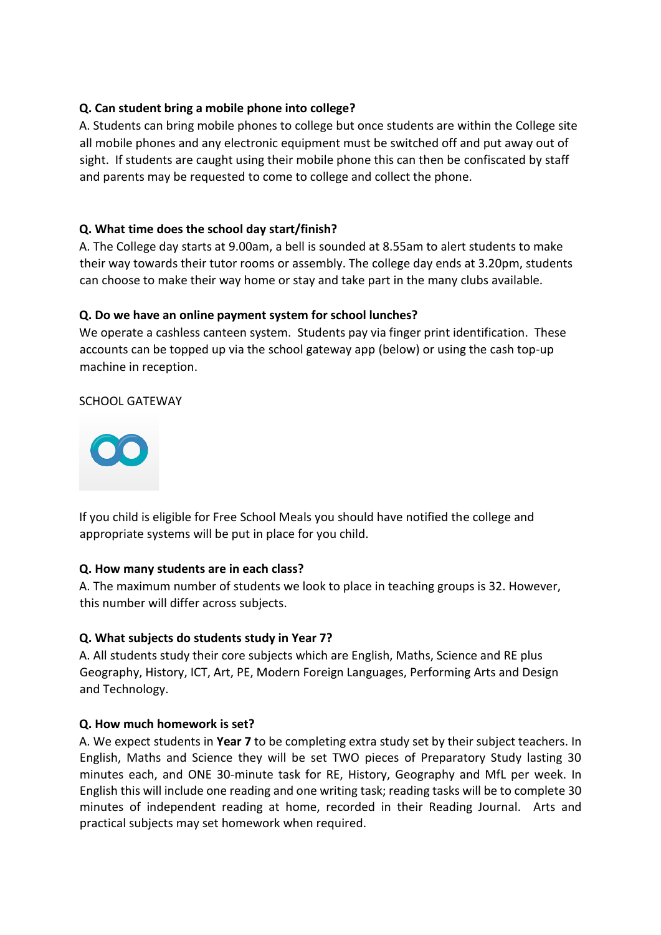### **Q. Can student bring a mobile phone into college?**

A. Students can bring mobile phones to college but once students are within the College site all mobile phones and any electronic equipment must be switched off and put away out of sight. If students are caught using their mobile phone this can then be confiscated by staff and parents may be requested to come to college and collect the phone.

### **Q. What time does the school day start/finish?**

A. The College day starts at 9.00am, a bell is sounded at 8.55am to alert students to make their way towards their tutor rooms or assembly. The college day ends at 3.20pm, students can choose to make their way home or stay and take part in the many clubs available.

### **Q. Do we have an online payment system for school lunches?**

We operate a cashless canteen system. Students pay via finger print identification. These accounts can be topped up via the school gateway app (below) or using the cash top-up machine in reception.

SCHOOL GATEWAY



If you child is eligible for Free School Meals you should have notified the college and appropriate systems will be put in place for you child.

### **Q. How many students are in each class?**

A. The maximum number of students we look to place in teaching groups is 32. However, this number will differ across subjects.

### **Q. What subjects do students study in Year 7?**

A. All students study their core subjects which are English, Maths, Science and RE plus Geography, History, ICT, Art, PE, Modern Foreign Languages, Performing Arts and Design and Technology.

### **Q. How much homework is set?**

A. We expect students in **Year 7** to be completing extra study set by their subject teachers. In English, Maths and Science they will be set TWO pieces of Preparatory Study lasting 30 minutes each, and ONE 30-minute task for RE, History, Geography and MfL per week. In English this will include one reading and one writing task; reading tasks will be to complete 30 minutes of independent reading at home, recorded in their Reading Journal. Arts and practical subjects may set homework when required.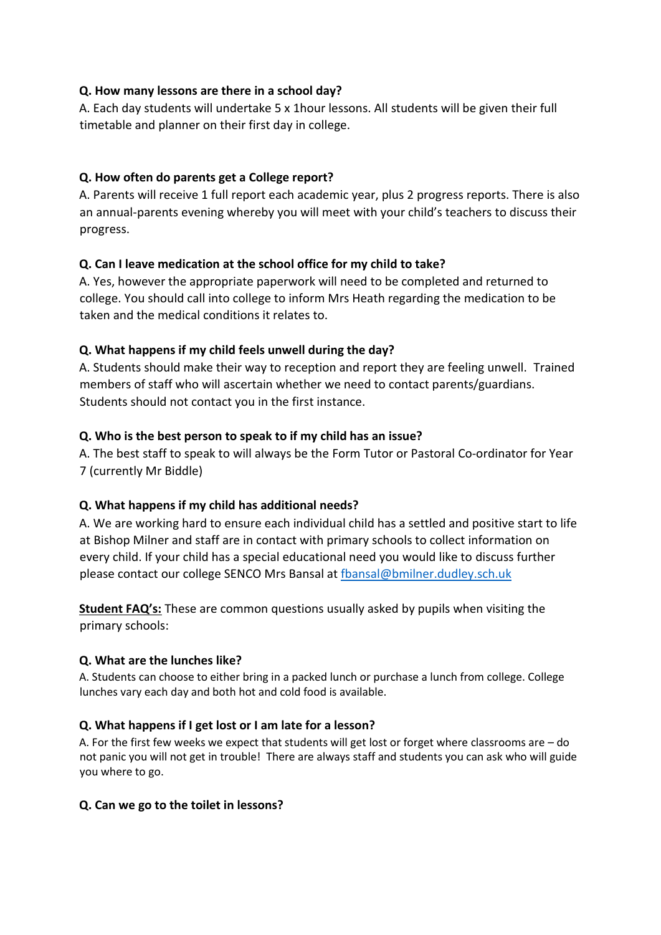### **Q. How many lessons are there in a school day?**

A. Each day students will undertake 5 x 1hour lessons. All students will be given their full timetable and planner on their first day in college.

### **Q. How often do parents get a College report?**

A. Parents will receive 1 full report each academic year, plus 2 progress reports. There is also an annual-parents evening whereby you will meet with your child's teachers to discuss their progress.

### **Q. Can I leave medication at the school office for my child to take?**

A. Yes, however the appropriate paperwork will need to be completed and returned to college. You should call into college to inform Mrs Heath regarding the medication to be taken and the medical conditions it relates to.

### **Q. What happens if my child feels unwell during the day?**

A. Students should make their way to reception and report they are feeling unwell. Trained members of staff who will ascertain whether we need to contact parents/guardians. Students should not contact you in the first instance.

## **Q. Who is the best person to speak to if my child has an issue?**

A. The best staff to speak to will always be the Form Tutor or Pastoral Co-ordinator for Year 7 (currently Mr Biddle)

## **Q. What happens if my child has additional needs?**

A. We are working hard to ensure each individual child has a settled and positive start to life at Bishop Milner and staff are in contact with primary schools to collect information on every child. If your child has a special educational need you would like to discuss further please contact our college SENCO Mrs Bansal at [fbansal@bmilner.dudley.sch.uk](mailto:fbansal@bmilner.dudley.sch.uk)

**Student FAQ's:** These are common questions usually asked by pupils when visiting the primary schools:

## **Q. What are the lunches like?**

A. Students can choose to either bring in a packed lunch or purchase a lunch from college. College lunches vary each day and both hot and cold food is available.

## **Q. What happens if I get lost or I am late for a lesson?**

A. For the first few weeks we expect that students will get lost or forget where classrooms are – do not panic you will not get in trouble! There are always staff and students you can ask who will guide you where to go.

## **Q. Can we go to the toilet in lessons?**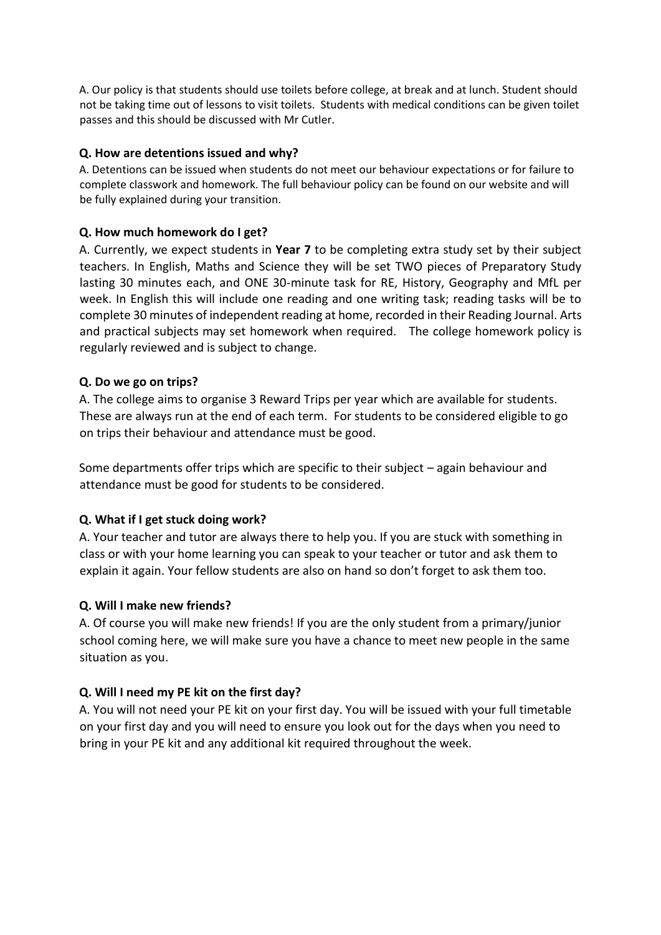A. Our policy is that students should use toilets before college, at break and at lunch. Student should not be taking time out of lessons to visit toilets. Students with medical conditions can be given toilet passes and this should be discussed with Mr Cutler.

#### **Q. How are detentions issued and why?**

A. Detentions can be issued when students do not meet our behaviour expectations or for failure to complete classwork and homework. The full behaviour policy can be found on our website and will be fully explained during your transition.

#### **Q. How much homework do I get?**

A. Currently, we expect students in **Year 7** to be completing extra study set by their subject teachers. In English, Maths and Science they will be set TWO pieces of Preparatory Study lasting 30 minutes each, and ONE 30-minute task for RE, History, Geography and MfL per week. In English this will include one reading and one writing task; reading tasks will be to complete 30 minutes of independent reading at home, recorded in their Reading Journal. Arts and practical subjects may set homework when required. The college homework policy is regularly reviewed and is subject to change.

#### **Q. Do we go on trips?**

A. The college aims to organise 3 Reward Trips per year which are available for students. These are always run at the end of each term. For students to be considered eligible to go on trips their behaviour and attendance must be good.

Some departments offer trips which are specific to their subject – again behaviour and attendance must be good for students to be considered.

### **Q. What if I get stuck doing work?**

A. Your teacher and tutor are always there to help you. If you are stuck with something in class or with your home learning you can speak to your teacher or tutor and ask them to explain it again. Your fellow students are also on hand so don't forget to ask them too.

#### **Q. Will I make new friends?**

A. Of course you will make new friends! If you are the only student from a primary/junior school coming here, we will make sure you have a chance to meet new people in the same situation as you.

### **Q. Will I need my PE kit on the first day?**

A. You will not need your PE kit on your first day. You will be issued with your full timetable on your first day and you will need to ensure you look out for the days when you need to bring in your PE kit and any additional kit required throughout the week.